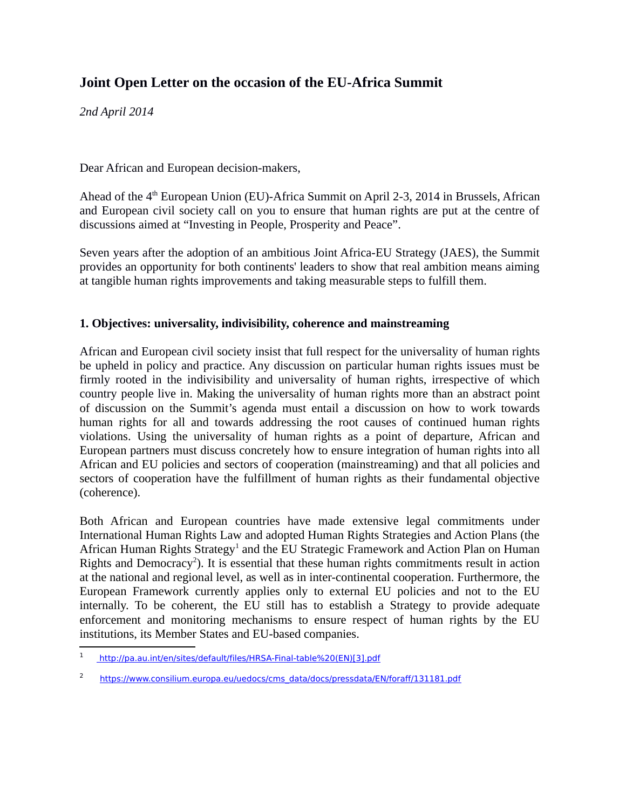# **Joint Open Letter on the occasion of the EU-Africa Summit**

*2nd April 2014*

Dear African and European decision-makers,

Ahead of the 4<sup>th</sup> European Union (EU)-Africa Summit on April 2-3, 2014 in Brussels, African and European civil society call on you to ensure that human rights are put at the centre of discussions aimed at "Investing in People, Prosperity and Peace".

Seven years after the adoption of an ambitious Joint Africa-EU Strategy (JAES), the Summit provides an opportunity for both continents' leaders to show that real ambition means aiming at tangible human rights improvements and taking measurable steps to fulfill them.

## **1. Objectives: universality, indivisibility, coherence and mainstreaming**

African and European civil society insist that full respect for the universality of human rights be upheld in policy and practice. Any discussion on particular human rights issues must be firmly rooted in the indivisibility and universality of human rights, irrespective of which country people live in. Making the universality of human rights more than an abstract point of discussion on the Summit's agenda must entail a discussion on how to work towards human rights for all and towards addressing the root causes of continued human rights violations. Using the universality of human rights as a point of departure, African and European partners must discuss concretely how to ensure integration of human rights into all African and EU policies and sectors of cooperation (mainstreaming) and that all policies and sectors of cooperation have the fulfillment of human rights as their fundamental objective (coherence).

Both African and European countries have made extensive legal commitments under International Human Rights Law and adopted Human Rights Strategies and Action Plans (the African Human Rights Strategy<sup>[1](#page-0-0)</sup> and the EU Strategic Framework and Action Plan on Human Rights and Democracy<sup>[2](#page-0-1)</sup>). It is essential that these human rights commitments result in action at the national and regional level, as well as in inter-continental cooperation. Furthermore, the European Framework currently applies only to external EU policies and not to the EU internally. To be coherent, the EU still has to establish a Strategy to provide adequate enforcement and monitoring mechanisms to ensure respect of human rights by the EU institutions, its Member States and EU-based companies.

<span id="page-0-0"></span><sup>1</sup> [h ttp://pa.au.int/en/sites/default/files/HRSA-Final-table%20\(EN\)\[3\].pdf](http://pa.au.int/en/sites/default/files/HRSA-Final-table(EN)%5B3%5D.pdf)

<span id="page-0-1"></span><sup>&</sup>lt;sup>2</sup> https://www.consilium.europa.eu/uedocs/cms\_data/docs/pressdata/EN/foraff/131181.pdf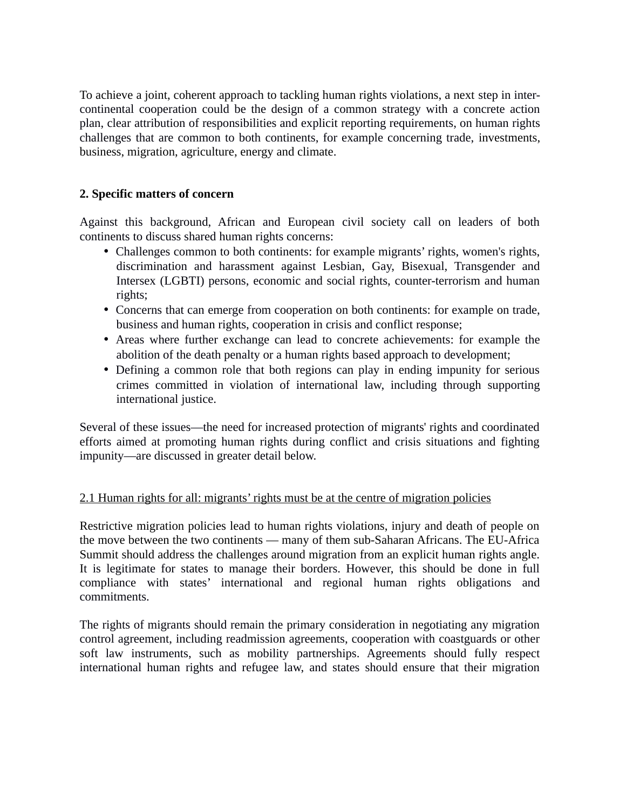To achieve a joint, coherent approach to tackling human rights violations, a next step in intercontinental cooperation could be the design of a common strategy with a concrete action plan, clear attribution of responsibilities and explicit reporting requirements, on human rights challenges that are common to both continents, for example concerning trade, investments, business, migration, agriculture, energy and climate.

# **2. Specific matters of concern**

Against this background, African and European civil society call on leaders of both continents to discuss shared human rights concerns:

- Challenges common to both continents: for example migrants' rights, women's rights, discrimination and harassment against Lesbian, Gay, Bisexual, Transgender and Intersex (LGBTI) persons, economic and social rights, counter-terrorism and human rights;
- Concerns that can emerge from cooperation on both continents: for example on trade, business and human rights, cooperation in crisis and conflict response;
- Areas where further exchange can lead to concrete achievements: for example the abolition of the death penalty or a human rights based approach to development;
- Defining a common role that both regions can play in ending impunity for serious crimes committed in violation of international law, including through supporting international justice.

Several of these issues—the need for increased protection of migrants' rights and coordinated efforts aimed at promoting human rights during conflict and crisis situations and fighting impunity—are discussed in greater detail below.

## 2.1 Human rights for all: migrants' rights must be at the centre of migration policies

Restrictive migration policies lead to human rights violations, injury and death of people on the move between the two continents — many of them sub-Saharan Africans. The EU-Africa Summit should address the challenges around migration from an explicit human rights angle. It is legitimate for states to manage their borders. However, this should be done in full compliance with states' international and regional human rights obligations and commitments.

The rights of migrants should remain the primary consideration in negotiating any migration control agreement, including readmission agreements, cooperation with coastguards or other soft law instruments, such as mobility partnerships. Agreements should fully respect international human rights and refugee law, and states should ensure that their migration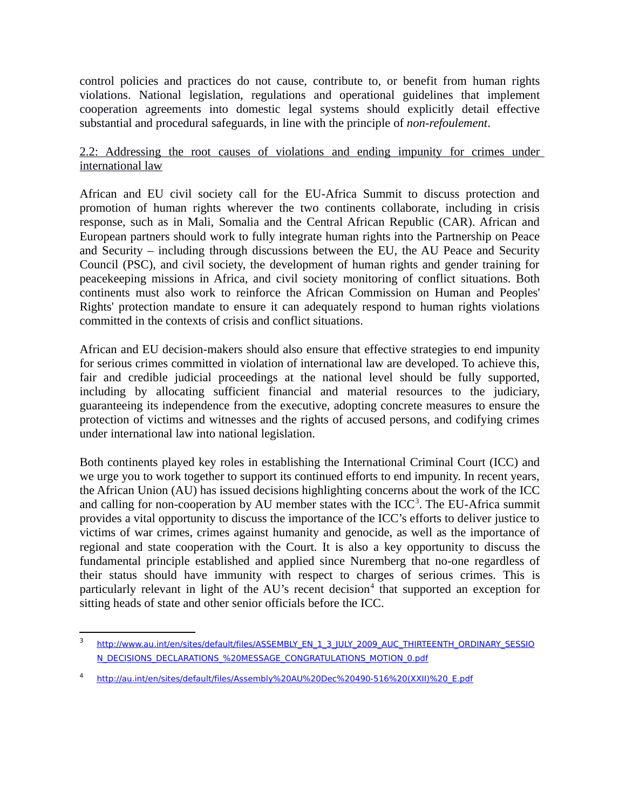control policies and practices do not cause, contribute to, or benefit from human rights violations. National legislation, regulations and operational guidelines that implement cooperation agreements into domestic legal systems should explicitly detail effective substantial and procedural safeguards, in line with the principle of *non-refoulement*.

#### 2.2: Addressing the root causes of violations and ending impunity for crimes under international law

African and EU civil society call for the EU-Africa Summit to discuss protection and promotion of human rights wherever the two continents collaborate, including in crisis response, such as in Mali, Somalia and the Central African Republic (CAR). African and European partners should work to fully integrate human rights into the Partnership on Peace and Security – including through discussions between the EU, the AU Peace and Security Council (PSC), and civil society, the development of human rights and gender training for peacekeeping missions in Africa, and civil society monitoring of conflict situations. Both continents must also work to reinforce the African Commission on Human and Peoples' Rights' protection mandate to ensure it can adequately respond to human rights violations committed in the contexts of crisis and conflict situations.

African and EU decision-makers should also ensure that effective strategies to end impunity for serious crimes committed in violation of international law are developed. To achieve this, fair and credible judicial proceedings at the national level should be fully supported, including by allocating sufficient financial and material resources to the judiciary, guaranteeing its independence from the executive, adopting concrete measures to ensure the protection of victims and witnesses and the rights of accused persons, and codifying crimes under international law into national legislation.

Both continents played key roles in establishing the International Criminal Court (ICC) and we urge you to work together to support its continued efforts to end impunity. In recent years, the African Union (AU) has issued decisions highlighting concerns about the work of the ICC and calling for non-cooperation by AU member states with the ICC<sup>[3](#page-2-0)</sup>. The EU-Africa summit provides a vital opportunity to discuss the importance of the ICC's efforts to deliver justice to victims of war crimes, crimes against humanity and genocide, as well as the importance of regional and state cooperation with the Court. It is also a key opportunity to discuss the fundamental principle established and applied since Nuremberg that no-one regardless of their status should have immunity with respect to charges of serious crimes. This is particularly relevant in light of the AU's recent decision<sup>[4](#page-2-1)</sup> that supported an exception for sitting heads of state and other senior officials before the ICC.

<span id="page-2-0"></span><sup>3</sup> http://www.au.int/en/sites/default/files/ASSEMBLY\_EN\_1\_3\_JULY\_2009\_AUC\_THIRTEENTH\_ORDINARY\_SESSIO [N\\_DECISIONS\\_DECLARATIONS\\_%20MESSAGE\\_CONGRATULATIONS\\_MOTION\\_0.pdf](http://www.au.int/en/sites/default/files/ASSEMBLY_EN_1_3_JULY_2009_AUC_THIRTEENTH_ORDINARY_SESSION_DECISIONS_DECLARATIONS_MESSAGE_CONGRATULATIONS_MOTION_0.pdf)

<span id="page-2-1"></span><sup>4</sup> [h ttp://au.int/en/sites/default/files/Assembly%20AU%20Dec%20490-516%20\(XXII\)%20\\_E.pdf](http://au.int/en/sites/default/files/Assembly%20AU%20Dec%20490-516%20(XXII)_E.pdf)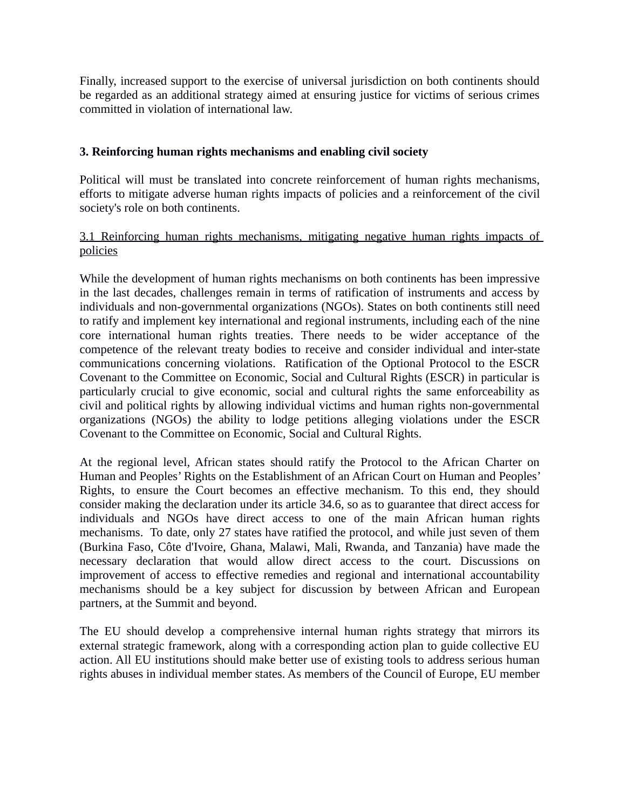Finally, increased support to the exercise of universal jurisdiction on both continents should be regarded as an additional strategy aimed at ensuring justice for victims of serious crimes committed in violation of international law.

## **3. Reinforcing human rights mechanisms and enabling civil society**

Political will must be translated into concrete reinforcement of human rights mechanisms, efforts to mitigate adverse human rights impacts of policies and a reinforcement of the civil society's role on both continents.

## 3.1 Reinforcing human rights mechanisms, mitigating negative human rights impacts of policies

While the development of human rights mechanisms on both continents has been impressive in the last decades, challenges remain in terms of ratification of instruments and access by individuals and non-governmental organizations (NGOs). States on both continents still need to ratify and implement key international and regional instruments, including each of the nine core international human rights treaties. There needs to be wider acceptance of the competence of the relevant treaty bodies to receive and consider individual and inter-state communications concerning violations. Ratification of the Optional Protocol to the ESCR Covenant to the Committee on Economic, Social and Cultural Rights (ESCR) in particular is particularly crucial to give economic, social and cultural rights the same enforceability as civil and political rights by allowing individual victims and human rights non-governmental organizations (NGOs) the ability to lodge petitions alleging violations under the ESCR Covenant to the Committee on Economic, Social and Cultural Rights.

At the regional level, African states should ratify the Protocol to the African Charter on Human and Peoples' Rights on the Establishment of an African Court on Human and Peoples' Rights, to ensure the Court becomes an effective mechanism. To this end, they should consider making the declaration under its article 34.6, so as to guarantee that direct access for individuals and NGOs have direct access to one of the main African human rights mechanisms. To date, only 27 states have ratified the protocol, and while just seven of them (Burkina Faso, Côte d'Ivoire, Ghana, Malawi, Mali, Rwanda, and Tanzania) have made the necessary declaration that would allow direct access to the court. Discussions on improvement of access to effective remedies and regional and international accountability mechanisms should be a key subject for discussion by between African and European partners, at the Summit and beyond.

The EU should develop a comprehensive internal human rights strategy that mirrors its external strategic framework, along with a corresponding action plan to guide collective EU action. All EU institutions should make better use of existing tools to address serious human rights abuses in individual member states. As members of the Council of Europe, EU member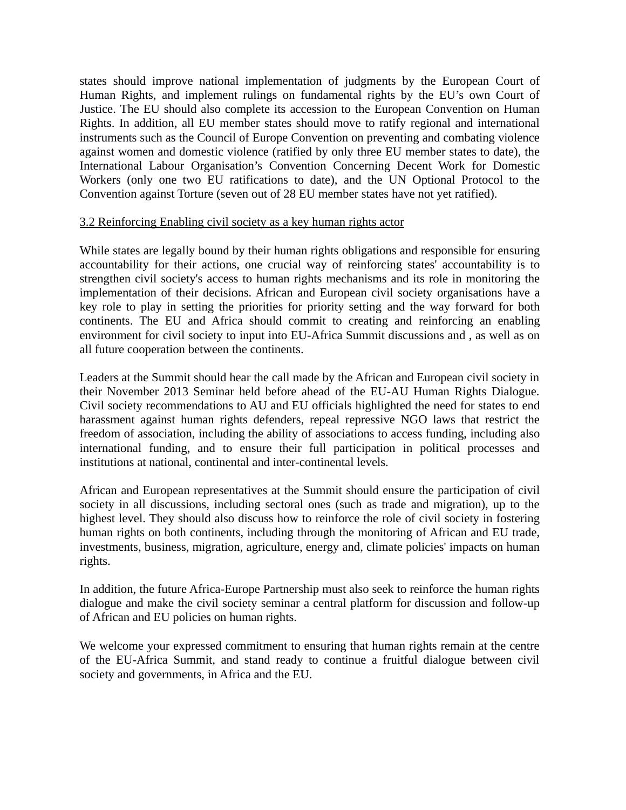states should improve national implementation of judgments by the European Court of Human Rights, and implement rulings on fundamental rights by the EU's own Court of Justice. The EU should also complete its accession to the European Convention on Human Rights. In addition, all EU member states should move to ratify regional and international instruments such as the Council of Europe Convention on preventing and combating violence against women and domestic violence (ratified by only three EU member states to date), the International Labour Organisation's Convention Concerning Decent Work for Domestic Workers (only one two EU ratifications to date), and the UN Optional Protocol to the Convention against Torture (seven out of 28 EU member states have not yet ratified).

#### 3.2 Reinforcing Enabling civil society as a key human rights actor

While states are legally bound by their human rights obligations and responsible for ensuring accountability for their actions, one crucial way of reinforcing states' accountability is to strengthen civil society's access to human rights mechanisms and its role in monitoring the implementation of their decisions. African and European civil society organisations have a key role to play in setting the priorities for priority setting and the way forward for both continents. The EU and Africa should commit to creating and reinforcing an enabling environment for civil society to input into EU-Africa Summit discussions and , as well as on all future cooperation between the continents.

Leaders at the Summit should hear the call made by the African and European civil society in their November 2013 Seminar held before ahead of the EU-AU Human Rights Dialogue. Civil society recommendations to AU and EU officials highlighted the need for states to end harassment against human rights defenders, repeal repressive NGO laws that restrict the freedom of association, including the ability of associations to access funding, including also international funding, and to ensure their full participation in political processes and institutions at national, continental and inter-continental levels.

African and European representatives at the Summit should ensure the participation of civil society in all discussions, including sectoral ones (such as trade and migration), up to the highest level. They should also discuss how to reinforce the role of civil society in fostering human rights on both continents, including through the monitoring of African and EU trade, investments, business, migration, agriculture, energy and, climate policies' impacts on human rights.

In addition, the future Africa-Europe Partnership must also seek to reinforce the human rights dialogue and make the civil society seminar a central platform for discussion and follow-up of African and EU policies on human rights.

We welcome your expressed commitment to ensuring that human rights remain at the centre of the EU-Africa Summit, and stand ready to continue a fruitful dialogue between civil society and governments, in Africa and the EU.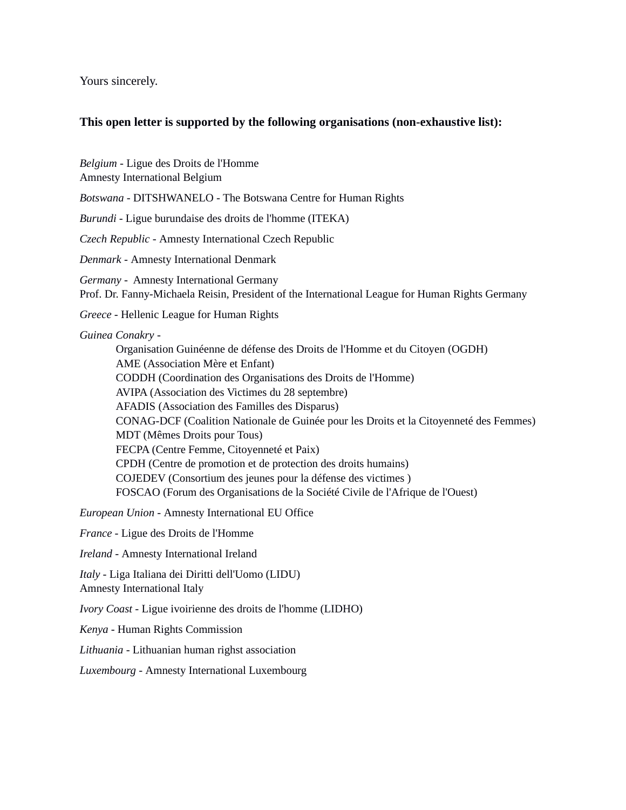Yours sincerely.

#### **This open letter is supported by the following organisations (non-exhaustive list):**

*Belgium -* Ligue des Droits de l'Homme

Amnesty International Belgium

*Botswana -* DITSHWANELO - The Botswana Centre for Human Rights

*Burundi* - Ligue burundaise des droits de l'homme (ITEKA)

*Czech Republic -* Amnesty International Czech Republic

*Denmark -* Amnesty International Denmark

*Germany* - Amnesty International Germany Prof. Dr. Fanny-Michaela Reisin, President of the International League for Human Rights Germany

*Greece* - Hellenic League for Human Rights

*Guinea Conakry* -

Organisation Guinéenne de défense des Droits de l'Homme et du Citoyen (OGDH) AME (Association Mère et Enfant) CODDH (Coordination des Organisations des Droits de l'Homme) AVIPA (Association des Victimes du 28 septembre) AFADIS (Association des Familles des Disparus) CONAG-DCF (Coalition Nationale de Guinée pour les Droits et la Citoyenneté des Femmes) MDT (Mêmes Droits pour Tous) FECPA (Centre Femme, Citoyenneté et Paix) CPDH (Centre de promotion et de protection des droits humains) COJEDEV (Consortium des jeunes pour la défense des victimes ) FOSCAO (Forum des Organisations de la Société Civile de l'Afrique de l'Ouest)

*European Union -* Amnesty International EU Office

*France* - Ligue des Droits de l'Homme

*Ireland -* Amnesty International Ireland

*Italy* - Liga Italiana dei Diritti dell'Uomo (LIDU) Amnesty International Italy

*Ivory Coast -* Ligue ivoirienne des droits de l'homme (LIDHO)

*Kenya -* Human Rights Commission

*Lithuania -* Lithuanian human righst association

*Luxembourg -* Amnesty International Luxembourg